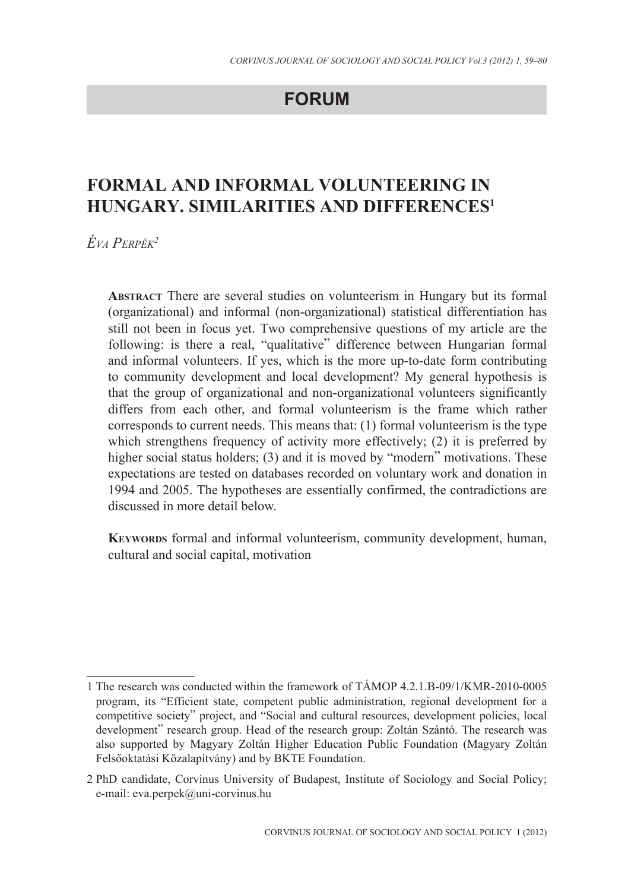## **FORUM**

# **FORMAL AND INFORMAL VOLUNTEERING IN HUNGARY. SIMILARITIES AND DIFFERENCES1**

*Éva Perpék2*

**Abstract** There are several studies on volunteerism in Hungary but its formal (organizational) and informal (non-organizational) statistical differentiation has still not been in focus yet. Two comprehensive questions of my article are the following: is there a real, "qualitative" difference between Hungarian formal and informal volunteers. If yes, which is the more up-to-date form contributing to community development and local development? My general hypothesis is that the group of organizational and non-organizational volunteers significantly differs from each other, and formal volunteerism is the frame which rather corresponds to current needs. This means that: (1) formal volunteerism is the type which strengthens frequency of activity more effectively; (2) it is preferred by higher social status holders; (3) and it is moved by "modern" motivations. These expectations are tested on databases recorded on voluntary work and donation in 1994 and 2005. The hypotheses are essentially confirmed, the contradictions are discussed in more detail below.

**KEYWORDS** formal and informal volunteerism, community development, human, cultural and social capital, motivation

<sup>1</sup> The research was conducted within the framework of TÁMOP 4.2.1.B-09/1/KMR-2010-0005 program, its "Efficient state, competent public administration, regional development for a competitive society" project, and "Social and cultural resources, development policies, local development" research group. Head of the research group: Zoltán Szántó. The research was also supported by Magyary Zoltán Higher Education Public Foundation (Magyary Zoltán Felsõoktatási Közalapítvány) and by BKTE Foundation.

<sup>2</sup> PhD candidate, Corvinus University of Budapest, Institute of Sociology and Social Policy; e-mail: eva.perpek@uni-corvinus.hu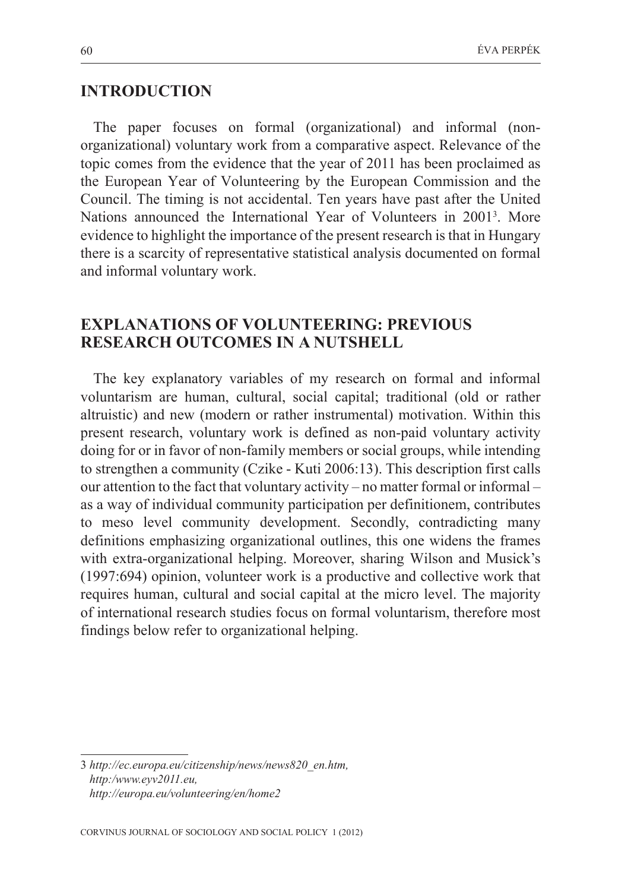#### **INTRODUCTION**

The paper focuses on formal (organizational) and informal (nonorganizational) voluntary work from a comparative aspect. Relevance of the topic comes from the evidence that the year of 2011 has been proclaimed as the European Year of Volunteering by the European Commission and the Council. The timing is not accidental. Ten years have past after the United Nations announced the International Year of Volunteers in 2001<sup>3</sup>. More evidence to highlight the importance of the present research is that in Hungary there is a scarcity of representative statistical analysis documented on formal and informal voluntary work.

### **EXPLANATIONS OF VOLUNTEERING: PREVIOUS RESEARCH OUTCOMES IN A NUTSHELL**

The key explanatory variables of my research on formal and informal voluntarism are human, cultural, social capital; traditional (old or rather altruistic) and new (modern or rather instrumental) motivation. Within this present research, voluntary work is defined as non-paid voluntary activity doing for or in favor of non-family members or social groups, while intending to strengthen a community (Czike - Kuti 2006:13). This description first calls our attention to the fact that voluntary activity – no matter formal or informal – as a way of individual community participation per definitionem, contributes to meso level community development. Secondly, contradicting many definitions emphasizing organizational outlines, this one widens the frames with extra-organizational helping. Moreover, sharing Wilson and Musick's (1997:694) opinion, volunteer work is a productive and collective work that requires human, cultural and social capital at the micro level. The majority of international research studies focus on formal voluntarism, therefore most findings below refer to organizational helping.

<sup>3</sup> *http://ec.europa.eu/citizenship/news/news820\_en.htm, http:/www.eyv2011.eu, http://europa.eu/volunteering/en/home2*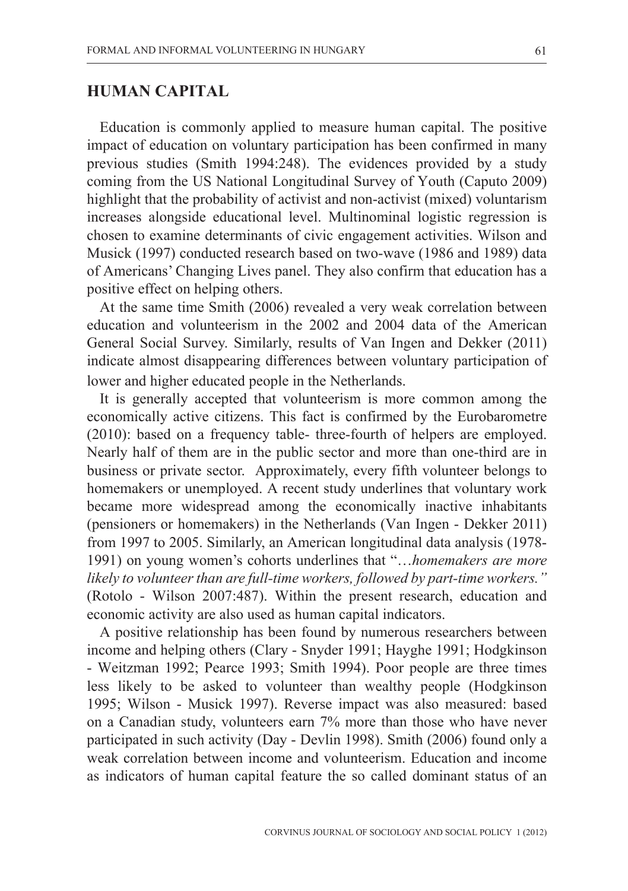## **HUMAN CAPITAL**

Education is commonly applied to measure human capital. The positive impact of education on voluntary participation has been confirmed in many previous studies (Smith 1994:248). The evidences provided by a study coming from the US National Longitudinal Survey of Youth (Caputo 2009) highlight that the probability of activist and non-activist (mixed) voluntarism increases alongside educational level. Multinominal logistic regression is chosen to examine determinants of civic engagement activities. Wilson and Musick (1997) conducted research based on two-wave (1986 and 1989) data of Americans' Changing Lives panel. They also confirm that education has a positive effect on helping others.

At the same time Smith (2006) revealed a very weak correlation between education and volunteerism in the 2002 and 2004 data of the American General Social Survey. Similarly, results of Van Ingen and Dekker (2011) indicate almost disappearing differences between voluntary participation of lower and higher educated people in the Netherlands.

It is generally accepted that volunteerism is more common among the economically active citizens. This fact is confirmed by the Eurobarometre (2010): based on a frequency table- three-fourth of helpers are employed. Nearly half of them are in the public sector and more than one-third are in business or private sector. Approximately, every fifth volunteer belongs to homemakers or unemployed. A recent study underlines that voluntary work became more widespread among the economically inactive inhabitants (pensioners or homemakers) in the Netherlands (Van Ingen - Dekker 2011) from 1997 to 2005. Similarly, an American longitudinal data analysis (1978- 1991) on young women's cohorts underlines that "…*homemakers are more likely to volunteer than are full-time workers, followed by part-time workers."* (Rotolo - Wilson 2007:487). Within the present research, education and economic activity are also used as human capital indicators.

A positive relationship has been found by numerous researchers between income and helping others (Clary - Snyder 1991; Hayghe 1991; Hodgkinson - Weitzman 1992; Pearce 1993; Smith 1994). Poor people are three times less likely to be asked to volunteer than wealthy people (Hodgkinson 1995; Wilson - Musick 1997). Reverse impact was also measured: based on a Canadian study, volunteers earn 7% more than those who have never participated in such activity (Day - Devlin 1998). Smith (2006) found only a weak correlation between income and volunteerism. Education and income as indicators of human capital feature the so called dominant status of an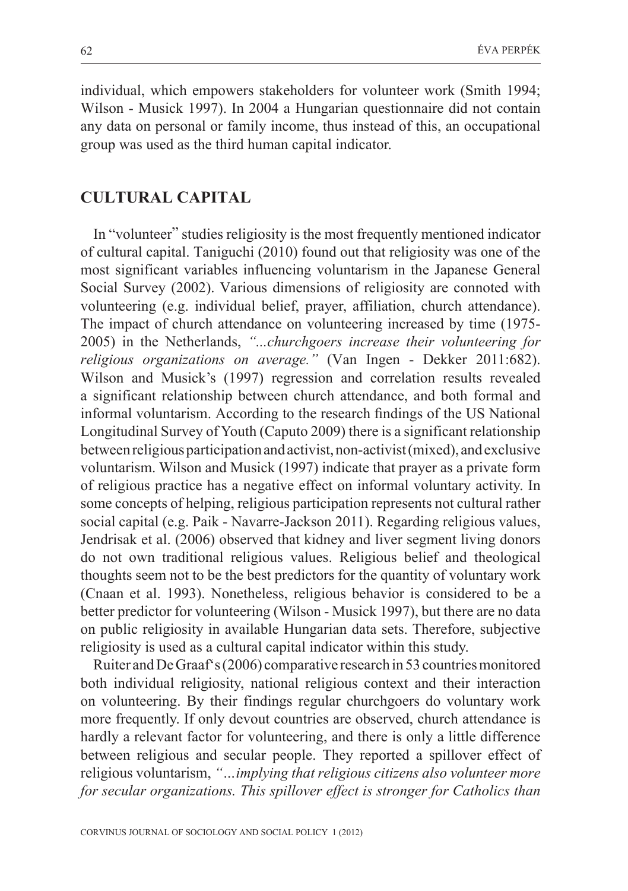individual, which empowers stakeholders for volunteer work (Smith 1994; Wilson - Musick 1997). In 2004 a Hungarian questionnaire did not contain any data on personal or family income, thus instead of this, an occupational group was used as the third human capital indicator.

#### **CULTURAL CAPITAL**

In "volunteer" studies religiosity is the most frequently mentioned indicator of cultural capital. Taniguchi (2010) found out that religiosity was one of the most significant variables influencing voluntarism in the Japanese General Social Survey (2002). Various dimensions of religiosity are connoted with volunteering (e.g. individual belief, prayer, affiliation, church attendance). The impact of church attendance on volunteering increased by time (1975- 2005) in the Netherlands, *"...churchgoers increase their volunteering for religious organizations on average."* (Van Ingen - Dekker 2011:682). Wilson and Musick's (1997) regression and correlation results revealed a significant relationship between church attendance, and both formal and informal voluntarism. According to the research findings of the US National Longitudinal Survey of Youth (Caputo 2009) there is a significant relationship between religious participation and activist, non-activist (mixed), and exclusive voluntarism. Wilson and Musick (1997) indicate that prayer as a private form of religious practice has a negative effect on informal voluntary activity. In some concepts of helping, religious participation represents not cultural rather social capital (e.g. Paik - Navarre-Jackson 2011). Regarding religious values, Jendrisak et al. (2006) observed that kidney and liver segment living donors do not own traditional religious values. Religious belief and theological thoughts seem not to be the best predictors for the quantity of voluntary work (Cnaan et al. 1993). Nonetheless, religious behavior is considered to be a better predictor for volunteering (Wilson - Musick 1997), but there are no data on public religiosity in available Hungarian data sets. Therefore, subjective religiosity is used as a cultural capital indicator within this study.

Ruiter and De Graaf's (2006) comparative research in 53 countries monitored both individual religiosity, national religious context and their interaction on volunteering. By their findings regular churchgoers do voluntary work more frequently. If only devout countries are observed, church attendance is hardly a relevant factor for volunteering, and there is only a little difference between religious and secular people. They reported a spillover effect of religious voluntarism, *"…implying that religious citizens also volunteer more for secular organizations. This spillover effect is stronger for Catholics than*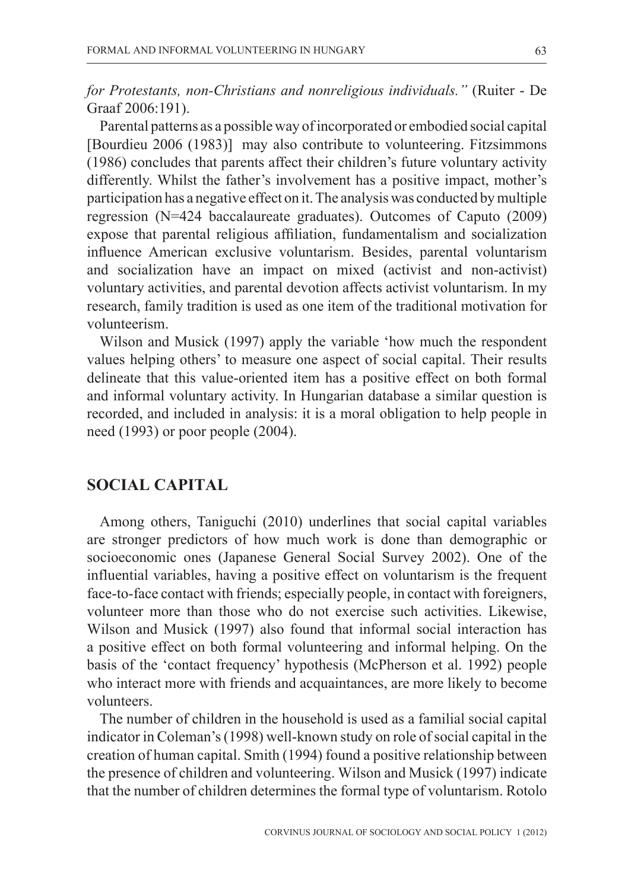*for Protestants, non-Christians and nonreligious individuals."* (Ruiter - De Graaf 2006:191).

Parental patterns as a possible way of incorporated or embodied social capital [Bourdieu 2006 (1983)] may also contribute to volunteering. Fitzsimmons (1986) concludes that parents affect their children's future voluntary activity differently. Whilst the father's involvement has a positive impact, mother's participation has a negative effect on it. The analysis was conducted by multiple regression (N=424 baccalaureate graduates). Outcomes of Caputo (2009) expose that parental religious affiliation, fundamentalism and socialization influence American exclusive voluntarism. Besides, parental voluntarism and socialization have an impact on mixed (activist and non-activist) voluntary activities, and parental devotion affects activist voluntarism. In my research, family tradition is used as one item of the traditional motivation for volunteerism.

Wilson and Musick (1997) apply the variable 'how much the respondent values helping others' to measure one aspect of social capital. Their results delineate that this value-oriented item has a positive effect on both formal and informal voluntary activity. In Hungarian database a similar question is recorded, and included in analysis: it is a moral obligation to help people in need (1993) or poor people (2004).

#### **SOCIAL CAPITAL**

Among others, Taniguchi (2010) underlines that social capital variables are stronger predictors of how much work is done than demographic or socioeconomic ones (Japanese General Social Survey 2002). One of the influential variables, having a positive effect on voluntarism is the frequent face-to-face contact with friends; especially people, in contact with foreigners, volunteer more than those who do not exercise such activities. Likewise, Wilson and Musick (1997) also found that informal social interaction has a positive effect on both formal volunteering and informal helping. On the basis of the 'contact frequency' hypothesis (McPherson et al. 1992) people who interact more with friends and acquaintances, are more likely to become volunteers.

The number of children in the household is used as a familial social capital indicator in Coleman's (1998) well-known study on role of social capital in the creation of human capital. Smith (1994) found a positive relationship between the presence of children and volunteering. Wilson and Musick (1997) indicate that the number of children determines the formal type of voluntarism. Rotolo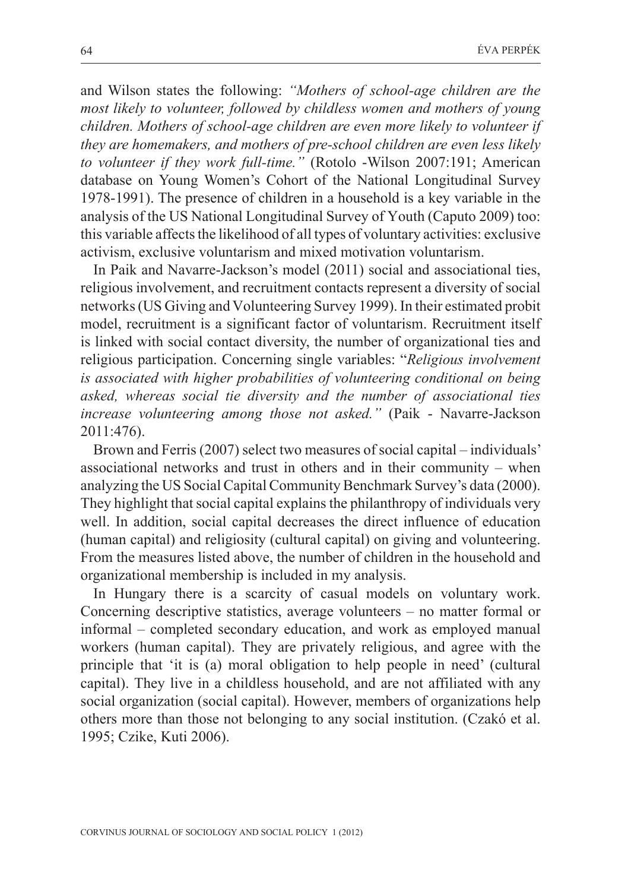and Wilson states the following: *"Mothers of school-age children are the most likely to volunteer, followed by childless women and mothers of young children. Mothers of school-age children are even more likely to volunteer if they are homemakers, and mothers of pre-school children are even less likely to volunteer if they work full-time."* (Rotolo -Wilson 2007:191; American database on Young Women's Cohort of the National Longitudinal Survey 1978-1991). The presence of children in a household is a key variable in the analysis of the US National Longitudinal Survey of Youth (Caputo 2009) too: this variable affects the likelihood of all types of voluntary activities: exclusive activism, exclusive voluntarism and mixed motivation voluntarism.

In Paik and Navarre-Jackson's model (2011) social and associational ties, religious involvement, and recruitment contacts represent a diversity of social networks (US Giving and Volunteering Survey 1999). In their estimated probit model, recruitment is a significant factor of voluntarism. Recruitment itself is linked with social contact diversity, the number of organizational ties and religious participation. Concerning single variables: "*Religious involvement is associated with higher probabilities of volunteering conditional on being asked, whereas social tie diversity and the number of associational ties increase volunteering among those not asked."* (Paik - Navarre-Jackson 2011:476).

Brown and Ferris (2007) select two measures of social capital – individuals' associational networks and trust in others and in their community – when analyzing the US Social Capital Community Benchmark Survey's data (2000). They highlight that social capital explains the philanthropy of individuals very well. In addition, social capital decreases the direct influence of education (human capital) and religiosity (cultural capital) on giving and volunteering. From the measures listed above, the number of children in the household and organizational membership is included in my analysis.

In Hungary there is a scarcity of casual models on voluntary work. Concerning descriptive statistics, average volunteers – no matter formal or informal – completed secondary education, and work as employed manual workers (human capital). They are privately religious, and agree with the principle that 'it is (a) moral obligation to help people in need' (cultural capital). They live in a childless household, and are not affiliated with any social organization (social capital). However, members of organizations help others more than those not belonging to any social institution. (Czakó et al. 1995; Czike, Kuti 2006).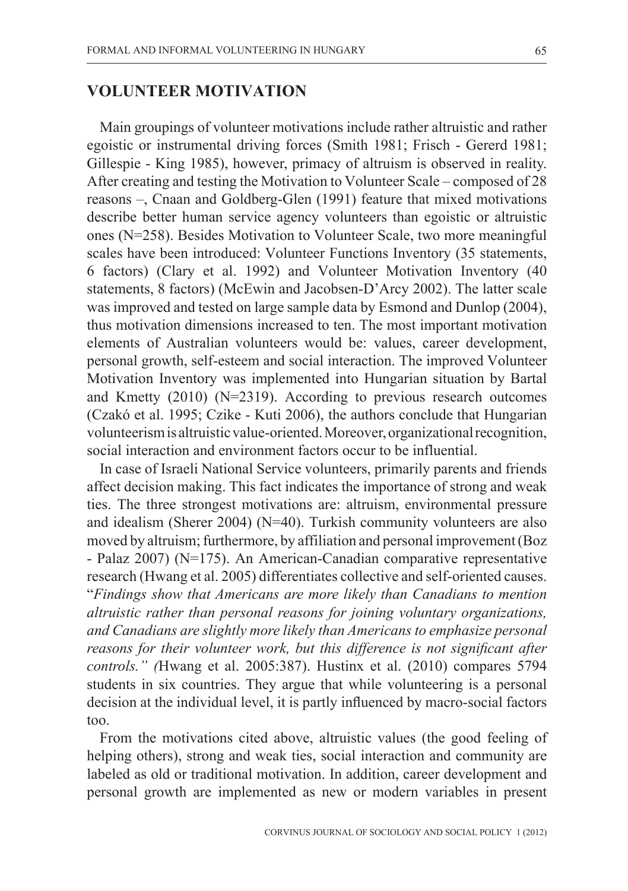#### **VOLUNTEER MOTIVATION**

Main groupings of volunteer motivations include rather altruistic and rather egoistic or instrumental driving forces (Smith 1981; Frisch - Gererd 1981; Gillespie - King 1985), however, primacy of altruism is observed in reality. After creating and testing the Motivation to Volunteer Scale – composed of 28 reasons –, Cnaan and Goldberg-Glen (1991) feature that mixed motivations describe better human service agency volunteers than egoistic or altruistic ones (N=258). Besides Motivation to Volunteer Scale, two more meaningful scales have been introduced: Volunteer Functions Inventory (35 statements, 6 factors) (Clary et al. 1992) and Volunteer Motivation Inventory (40 statements, 8 factors) (McEwin and Jacobsen-D'Arcy 2002). The latter scale was improved and tested on large sample data by Esmond and Dunlop (2004), thus motivation dimensions increased to ten. The most important motivation elements of Australian volunteers would be: values, career development, personal growth, self-esteem and social interaction. The improved Volunteer Motivation Inventory was implemented into Hungarian situation by Bartal and Kmetty (2010) (N=2319). According to previous research outcomes (Czakó et al. 1995; Czike - Kuti 2006), the authors conclude that Hungarian volunteerism is altruistic value-oriented. Moreover, organizational recognition, social interaction and environment factors occur to be influential.

In case of Israeli National Service volunteers, primarily parents and friends affect decision making. This fact indicates the importance of strong and weak ties. The three strongest motivations are: altruism, environmental pressure and idealism (Sherer 2004) (N=40). Turkish community volunteers are also moved by altruism; furthermore, by affiliation and personal improvement (Boz - Palaz 2007) (N=175). An American-Canadian comparative representative research (Hwang et al. 2005) differentiates collective and self-oriented causes. "*Findings show that Americans are more likely than Canadians to mention altruistic rather than personal reasons for joining voluntary organizations, and Canadians are slightly more likely than Americans to emphasize personal reasons for their volunteer work, but this difference is not significant after controls." (*Hwang et al. 2005:387). Hustinx et al. (2010) compares 5794 students in six countries. They argue that while volunteering is a personal decision at the individual level, it is partly influenced by macro-social factors too.

From the motivations cited above, altruistic values (the good feeling of helping others), strong and weak ties, social interaction and community are labeled as old or traditional motivation. In addition, career development and personal growth are implemented as new or modern variables in present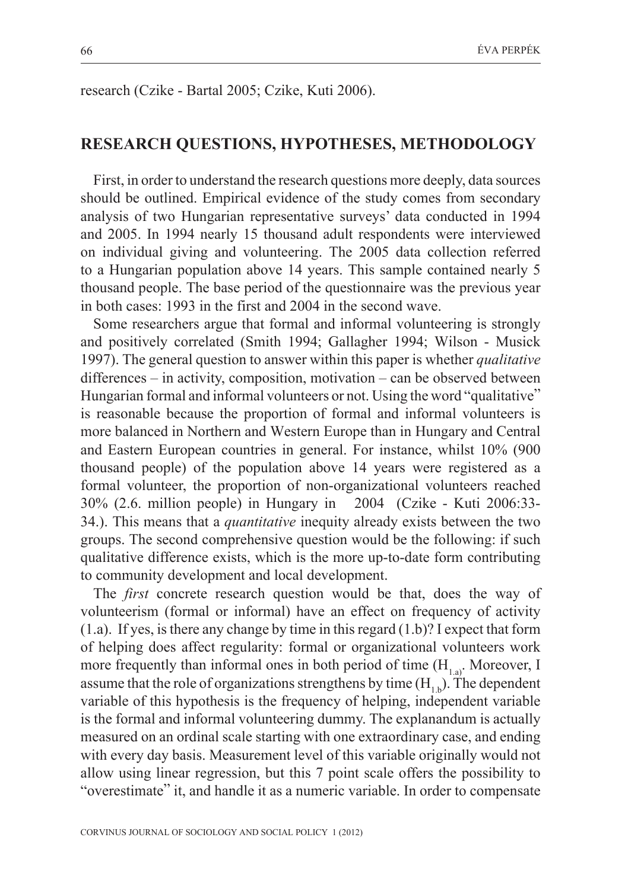research (Czike - Bartal 2005; Czike, Kuti 2006).

#### **RESEARCH QUESTIONS, HYPOTHESES, METHODOLOGY**

First, in order to understand the research questions more deeply, data sources should be outlined. Empirical evidence of the study comes from secondary analysis of two Hungarian representative surveys' data conducted in 1994 and 2005. In 1994 nearly 15 thousand adult respondents were interviewed on individual giving and volunteering. The 2005 data collection referred to a Hungarian population above 14 years. This sample contained nearly 5 thousand people. The base period of the questionnaire was the previous year in both cases: 1993 in the first and 2004 in the second wave.

Some researchers argue that formal and informal volunteering is strongly and positively correlated (Smith 1994; Gallagher 1994; Wilson - Musick 1997). The general question to answer within this paper is whether *qualitative* differences – in activity, composition, motivation – can be observed between Hungarian formal and informal volunteers or not. Using the word "qualitative" is reasonable because the proportion of formal and informal volunteers is more balanced in Northern and Western Europe than in Hungary and Central and Eastern European countries in general. For instance, whilst 10% (900 thousand people) of the population above 14 years were registered as a formal volunteer, the proportion of non-organizational volunteers reached 30% (2.6. million people) in Hungary in 2004 (Czike - Kuti 2006:33- 34.). This means that a *quantitative* inequity already exists between the two groups. The second comprehensive question would be the following: if such qualitative difference exists, which is the more up-to-date form contributing to community development and local development.

The *first* concrete research question would be that, does the way of volunteerism (formal or informal) have an effect on frequency of activity (1.a). If yes, is there any change by time in this regard (1.b)? I expect that form of helping does affect regularity: formal or organizational volunteers work more frequently than informal ones in both period of time  $(H_{1, a})$ . Moreover, I assume that the role of organizations strengthens by time  $(H_1)$ . The dependent variable of this hypothesis is the frequency of helping, independent variable is the formal and informal volunteering dummy. The explanandum is actually measured on an ordinal scale starting with one extraordinary case, and ending with every day basis. Measurement level of this variable originally would not allow using linear regression, but this 7 point scale offers the possibility to "overestimate" it, and handle it as a numeric variable. In order to compensate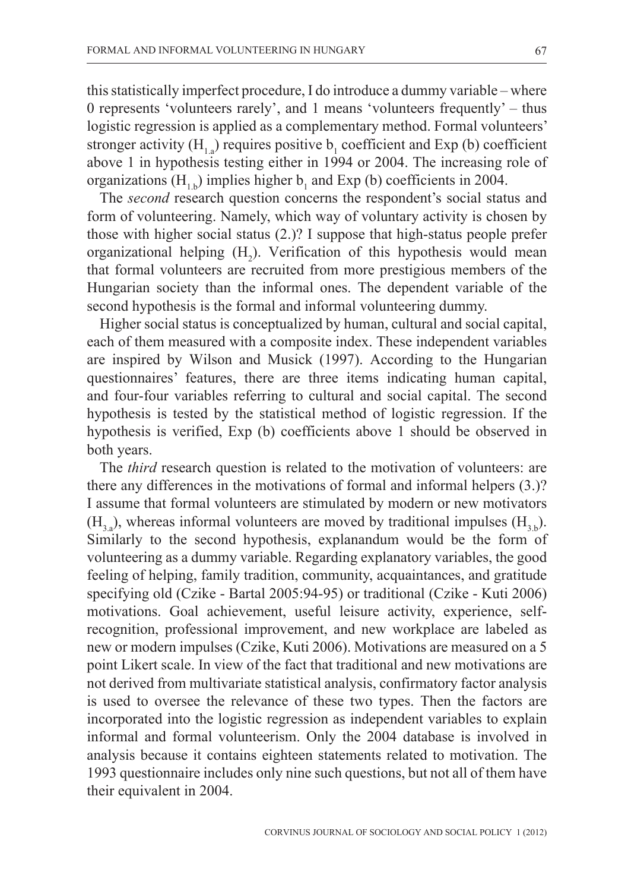this statistically imperfect procedure, I do introduce a dummy variable – where 0 represents 'volunteers rarely', and 1 means 'volunteers frequently' – thus logistic regression is applied as a complementary method. Formal volunteers' stronger activity ( $H<sub>1,a</sub>$ ) requires positive  $b<sub>1</sub>$  coefficient and Exp (b) coefficient above 1 in hypothesis testing either in 1994 or 2004. The increasing role of organizations ( $H_{1,b}$ ) implies higher  $b_1$  and Exp (b) coefficients in 2004.

The *second* research question concerns the respondent's social status and form of volunteering. Namely, which way of voluntary activity is chosen by those with higher social status (2.)? I suppose that high-status people prefer organizational helping  $(H_2)$ . Verification of this hypothesis would mean that formal volunteers are recruited from more prestigious members of the Hungarian society than the informal ones. The dependent variable of the second hypothesis is the formal and informal volunteering dummy.

Higher social status is conceptualized by human, cultural and social capital, each of them measured with a composite index. These independent variables are inspired by Wilson and Musick (1997). According to the Hungarian questionnaires' features, there are three items indicating human capital, and four-four variables referring to cultural and social capital. The second hypothesis is tested by the statistical method of logistic regression. If the hypothesis is verified, Exp (b) coefficients above 1 should be observed in both years.

The *third* research question is related to the motivation of volunteers: are there any differences in the motivations of formal and informal helpers (3.)? I assume that formal volunteers are stimulated by modern or new motivators  $(H, \rho)$ , whereas informal volunteers are moved by traditional impulses  $(H, \rho)$ . Similarly to the second hypothesis, explanandum would be the form of volunteering as a dummy variable. Regarding explanatory variables, the good feeling of helping, family tradition, community, acquaintances, and gratitude specifying old (Czike - Bartal 2005:94-95) or traditional (Czike - Kuti 2006) motivations. Goal achievement, useful leisure activity, experience, selfrecognition, professional improvement, and new workplace are labeled as new or modern impulses (Czike, Kuti 2006). Motivations are measured on a 5 point Likert scale. In view of the fact that traditional and new motivations are not derived from multivariate statistical analysis, confirmatory factor analysis is used to oversee the relevance of these two types. Then the factors are incorporated into the logistic regression as independent variables to explain informal and formal volunteerism. Only the 2004 database is involved in analysis because it contains eighteen statements related to motivation. The 1993 questionnaire includes only nine such questions, but not all of them have their equivalent in 2004.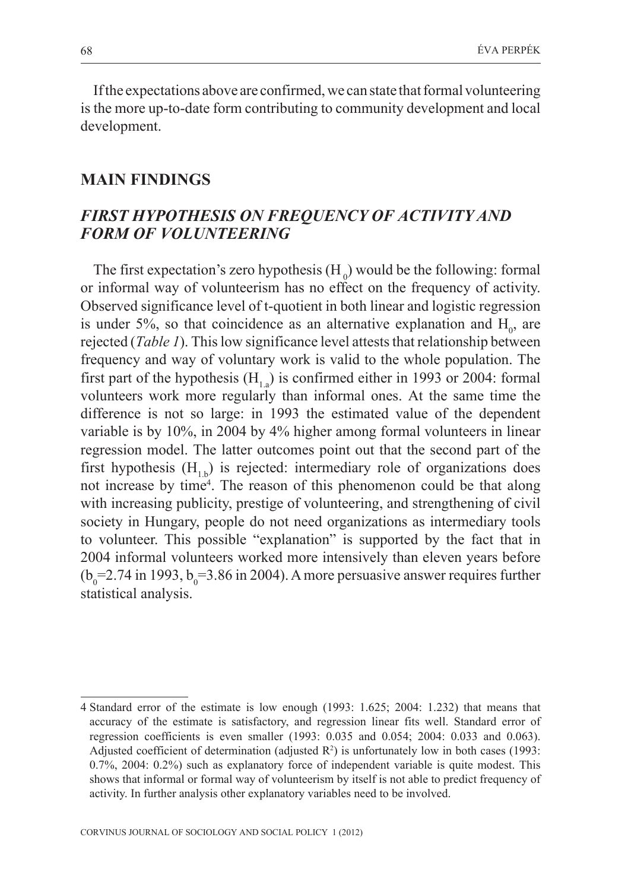If the expectations above are confirmed, we can state that formal volunteering is the more up-to-date form contributing to community development and local development.

#### **MAIN FINDINGS**

## *FIRST HYPOTHESIS ON FREQUENCY OF ACTIVITY AND FORM OF VOLUNTEERING*

The first expectation's zero hypothesis  $(H_0)$  would be the following: formal or informal way of volunteerism has no effect on the frequency of activity. Observed significance level of t-quotient in both linear and logistic regression is under 5%, so that coincidence as an alternative explanation and  $H_0$ , are rejected (*Table 1*). This low significance level attests that relationship between frequency and way of voluntary work is valid to the whole population. The first part of the hypothesis  $(H_1)$  is confirmed either in 1993 or 2004: formal volunteers work more regularly than informal ones. At the same time the difference is not so large: in 1993 the estimated value of the dependent variable is by 10%, in 2004 by 4% higher among formal volunteers in linear regression model. The latter outcomes point out that the second part of the first hypothesis  $(H_1)$  is rejected: intermediary role of organizations does not increase by time<sup>4</sup>. The reason of this phenomenon could be that along with increasing publicity, prestige of volunteering, and strengthening of civil society in Hungary, people do not need organizations as intermediary tools to volunteer. This possible "explanation" is supported by the fact that in 2004 informal volunteers worked more intensively than eleven years before  $(b_0=2.74$  in 1993,  $b_0=3.86$  in 2004). A more persuasive answer requires further statistical analysis.

<sup>4</sup> Standard error of the estimate is low enough (1993: 1.625; 2004: 1.232) that means that accuracy of the estimate is satisfactory, and regression linear fits well. Standard error of regression coefficients is even smaller (1993: 0.035 and 0.054; 2004: 0.033 and 0.063). Adjusted coefficient of determination (adjusted  $R^2$ ) is unfortunately low in both cases (1993: 0.7%, 2004: 0.2%) such as explanatory force of independent variable is quite modest. This shows that informal or formal way of volunteerism by itself is not able to predict frequency of activity. In further analysis other explanatory variables need to be involved.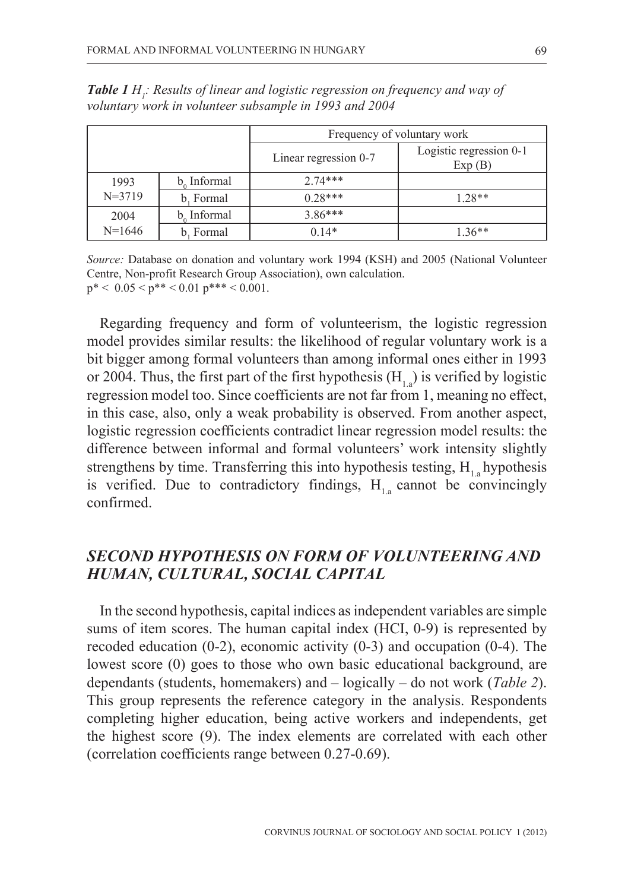|            |                  | Frequency of voluntary work |                                   |
|------------|------------------|-----------------------------|-----------------------------------|
|            |                  | Linear regression 0-7       | Logistic regression 0-1<br>Exp(B) |
| 1993       | $b_{0}$ Informal | $2.74***$                   |                                   |
| $N = 3719$ | b. Formal        | $0.28***$                   | $1.28**$                          |
| 2004       | b. Informal      | $3.86***$                   |                                   |
| $N=1646$   | b. Formal        | $0.14*$                     | $1.36**$                          |

**Table 1** H<sub>1</sub>: Results of linear and logistic regression on frequency and way of *voluntary work in volunteer subsample in 1993 and 2004*

*Source:* Database on donation and voluntary work 1994 (KSH) and 2005 (National Volunteer Centre, Non-profit Research Group Association), own calculation.  $p^*$  < 0.05 <  $p^{**}$  < 0.01  $p^{***}$  < 0.001.

Regarding frequency and form of volunteerism, the logistic regression model provides similar results: the likelihood of regular voluntary work is a bit bigger among formal volunteers than among informal ones either in 1993 or 2004. Thus, the first part of the first hypothesis  $(H_1)$  is verified by logistic regression model too. Since coefficients are not far from 1, meaning no effect, in this case, also, only a weak probability is observed. From another aspect, logistic regression coefficients contradict linear regression model results: the difference between informal and formal volunteers' work intensity slightly strengthens by time. Transferring this into hypothesis testing, H<sub>1</sub>. hypothesis is verified. Due to contradictory findings,  $H_{1a}$  cannot be convincingly confirmed.

## *SECOND HYPOTHESIS ON FORM OF VOLUNTEERING AND HUMAN, CULTURAL, SOCIAL CAPITAL*

In the second hypothesis, capital indices as independent variables are simple sums of item scores. The human capital index (HCI, 0-9) is represented by recoded education  $(0-2)$ , economic activity  $(0-3)$  and occupation  $(0-4)$ . The lowest score (0) goes to those who own basic educational background, are dependants (students, homemakers) and – logically – do not work (*Table 2*). This group represents the reference category in the analysis. Respondents completing higher education, being active workers and independents, get the highest score (9). The index elements are correlated with each other (correlation coefficients range between 0.27-0.69).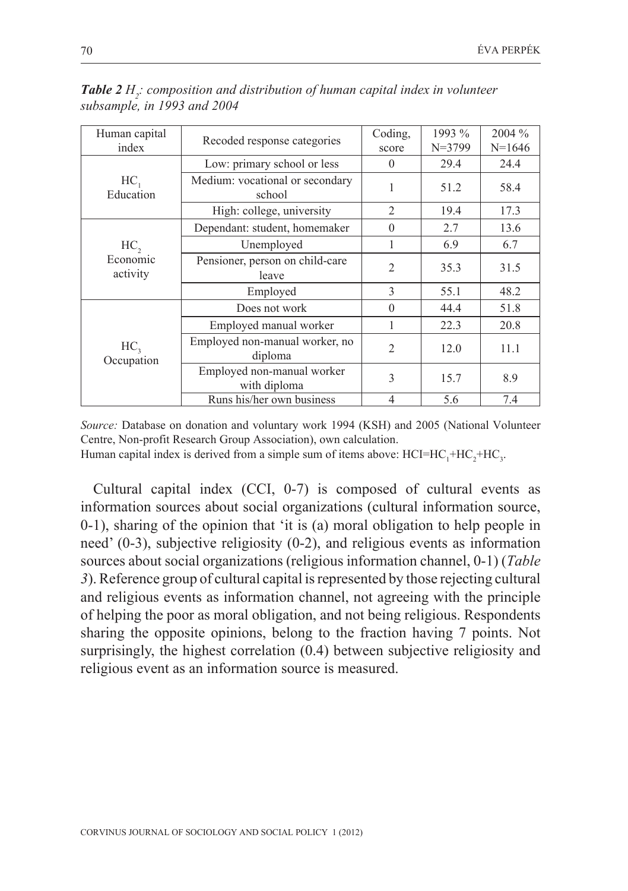| Human capital                 |                                            | Coding,        | 1993 %     | 2004 %   |
|-------------------------------|--------------------------------------------|----------------|------------|----------|
| index                         | Recoded response categories                | score          | $N = 3799$ | $N=1646$ |
|                               | Low: primary school or less                | $\Omega$       | 29.4       | 24.4     |
| HC,<br>Education              | Medium: vocational or secondary<br>school  | 1              | 51.2       | 58.4     |
|                               | High: college, university                  | 2              | 19.4       | 17.3     |
|                               | Dependant: student, homemaker              | $\theta$       | 2.7        | 13.6     |
| HC,<br>Economic<br>activity   | Unemployed                                 |                | 6.9        | 6.7      |
|                               | Pensioner, person on child-care<br>leave   | $\overline{2}$ | 35.3       | 31.5     |
|                               | Employed                                   | 3              | 55.1       | 48.2     |
|                               | Does not work                              | $\theta$       | 44.4       | 51.8     |
| HC <sub>3</sub><br>Occupation | Employed manual worker                     | 1              | 22.3       | 20.8     |
|                               | Employed non-manual worker, no<br>diploma  | $\mathfrak{2}$ | 12.0       | 11.1     |
|                               | Employed non-manual worker<br>with diploma | 3              | 15.7       | 8.9      |
|                               | Runs his/her own business                  | $\overline{4}$ | 5.6        | 7.4      |

**Table 2** H<sub>2</sub>: composition and distribution of human capital index in volunteer *subsample, in 1993 and 2004* 

*Source:* Database on donation and voluntary work 1994 (KSH) and 2005 (National Volunteer Centre, Non-profit Research Group Association), own calculation. Human capital index is derived from a simple sum of items above:  $HCI=HC_1+HC_2+HC_3$ .

Cultural capital index (CCI, 0-7) is composed of cultural events as information sources about social organizations (cultural information source, 0-1), sharing of the opinion that 'it is (a) moral obligation to help people in need' (0-3), subjective religiosity (0-2), and religious events as information sources about social organizations (religious information channel, 0-1) (*Table 3*). Reference group of cultural capital is represented by those rejecting cultural and religious events as information channel, not agreeing with the principle of helping the poor as moral obligation, and not being religious. Respondents sharing the opposite opinions, belong to the fraction having 7 points. Not surprisingly, the highest correlation (0.4) between subjective religiosity and religious event as an information source is measured.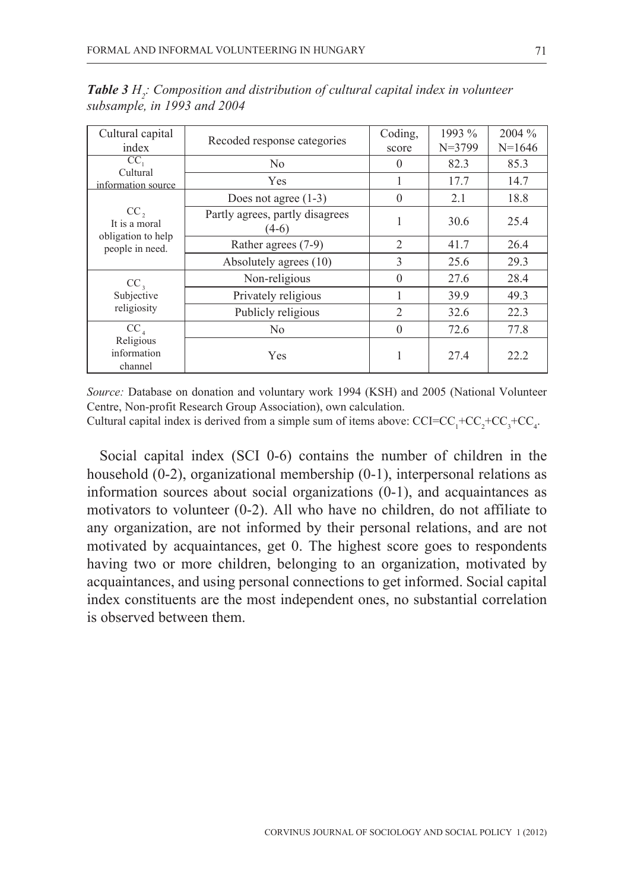| Cultural capital                                                 |                                            | Coding,        | 1993 %     | 2004 %   |
|------------------------------------------------------------------|--------------------------------------------|----------------|------------|----------|
| index                                                            | Recoded response categories                | score          | $N = 3799$ | $N=1646$ |
| CC<br>Cultural                                                   | No                                         | $\Omega$       | 82.3       | 85.3     |
| information source                                               | Yes                                        | 1              | 17.7       | 14.7     |
| $CC$ ,<br>It is a moral<br>obligation to help<br>people in need. | Does not agree $(1-3)$                     | $\Omega$       | 2.1        | 18.8     |
|                                                                  | Partly agrees, partly disagrees<br>$(4-6)$ |                | 30.6       | 25.4     |
|                                                                  | Rather agrees (7-9)                        | $\overline{c}$ | 41.7       | 26.4     |
|                                                                  | Absolutely agrees (10)                     | $\mathcal{L}$  | 25.6       | 29.3     |
| $CC_{1}$<br>Subjective<br>religiosity                            | Non-religious                              | $\Omega$       | 27.6       | 28.4     |
|                                                                  | Privately religious                        |                | 39.9       | 49.3     |
|                                                                  | Publicly religious                         | $\overline{2}$ | 32.6       | 22.3     |
| $CC_{4}$                                                         | N <sub>0</sub>                             | $\theta$       | 72.6       | 77.8     |
| Religious<br>information<br>channel                              | Yes                                        | 1              | 27.4       | 22.2     |

**Table 3** H<sub>2</sub>: Composition and distribution of cultural capital index in volunteer *subsample, in 1993 and 2004* 

*Source:* Database on donation and voluntary work 1994 (KSH) and 2005 (National Volunteer Centre, Non-profit Research Group Association), own calculation.

Cultural capital index is derived from a simple sum of items above:  $CCI=CC_1+CC_2+CC_3+CC_4$ .

Social capital index (SCI 0-6) contains the number of children in the household (0-2), organizational membership (0-1), interpersonal relations as information sources about social organizations (0-1), and acquaintances as motivators to volunteer (0-2). All who have no children, do not affiliate to any organization, are not informed by their personal relations, and are not motivated by acquaintances, get 0. The highest score goes to respondents having two or more children, belonging to an organization, motivated by acquaintances, and using personal connections to get informed. Social capital index constituents are the most independent ones, no substantial correlation is observed between them.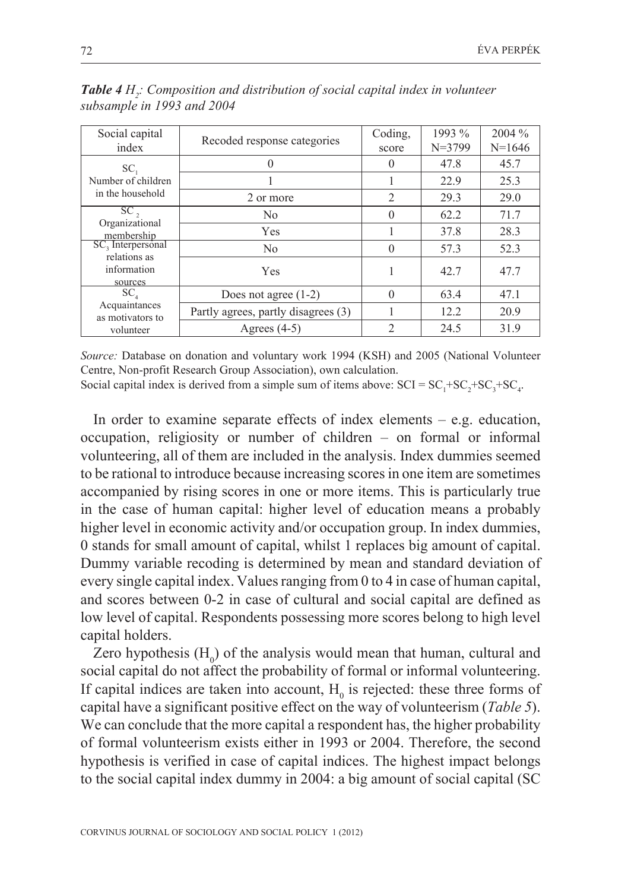| Social capital<br>index                                     | Recoded response categories         | Coding,<br>score | 1993 %<br>$N = 3799$ | 2004 %<br>$N=1646$ |
|-------------------------------------------------------------|-------------------------------------|------------------|----------------------|--------------------|
| SC <sub>1</sub>                                             | 0                                   | $\Omega$         | 47.8                 | 45.7               |
| Number of children<br>in the household                      |                                     |                  | 22.9                 | 25.3               |
|                                                             | 2 or more                           | $\overline{c}$   | 29.3                 | 29.0               |
| SC <sub>2</sub><br>Organizational<br>membership             | N <sub>0</sub>                      | $\Omega$         | 62.2                 | 71.7               |
|                                                             | Yes                                 |                  | 37.8                 | 28.3               |
| SC, Interpersonal<br>relations as<br>information<br>sources | N <sub>0</sub>                      | $\Omega$         | 57.3                 | 52.3               |
|                                                             | Yes                                 |                  | 42.7                 | 47.7               |
| SC,<br>Acquaintances<br>as motivators to                    | Does not agree $(1-2)$              | $\Omega$         | 63.4                 | 47.1               |
|                                                             | Partly agrees, partly disagrees (3) |                  | 12.2                 | 20.9               |
| volunteer                                                   | Agrees $(4-5)$                      | $\overline{2}$   | 24.5                 | 31.9               |

**Table 4** H<sub>2</sub>: Composition and distribution of social capital index in volunteer *subsample in 1993 and 2004* 

*Source:* Database on donation and voluntary work 1994 (KSH) and 2005 (National Volunteer Centre, Non-profit Research Group Association), own calculation.

Social capital index is derived from a simple sum of items above:  $SCI = SC<sub>1</sub>+SC<sub>2</sub>+SC<sub>3</sub>+SC<sub>4</sub>$ .

In order to examine separate effects of index elements  $-$  e.g. education, occupation, religiosity or number of children – on formal or informal volunteering, all of them are included in the analysis. Index dummies seemed to be rational to introduce because increasing scores in one item are sometimes accompanied by rising scores in one or more items. This is particularly true in the case of human capital: higher level of education means a probably higher level in economic activity and/or occupation group. In index dummies, 0 stands for small amount of capital, whilst 1 replaces big amount of capital. Dummy variable recoding is determined by mean and standard deviation of every single capital index. Values ranging from 0 to 4 in case of human capital, and scores between 0-2 in case of cultural and social capital are defined as low level of capital. Respondents possessing more scores belong to high level capital holders.

Zero hypothesis  $(H_0)$  of the analysis would mean that human, cultural and social capital do not affect the probability of formal or informal volunteering. If capital indices are taken into account,  $H_0$  is rejected: these three forms of capital have a significant positive effect on the way of volunteerism (*Table 5*). We can conclude that the more capital a respondent has, the higher probability of formal volunteerism exists either in 1993 or 2004. Therefore, the second hypothesis is verified in case of capital indices. The highest impact belongs to the social capital index dummy in 2004: a big amount of social capital (SC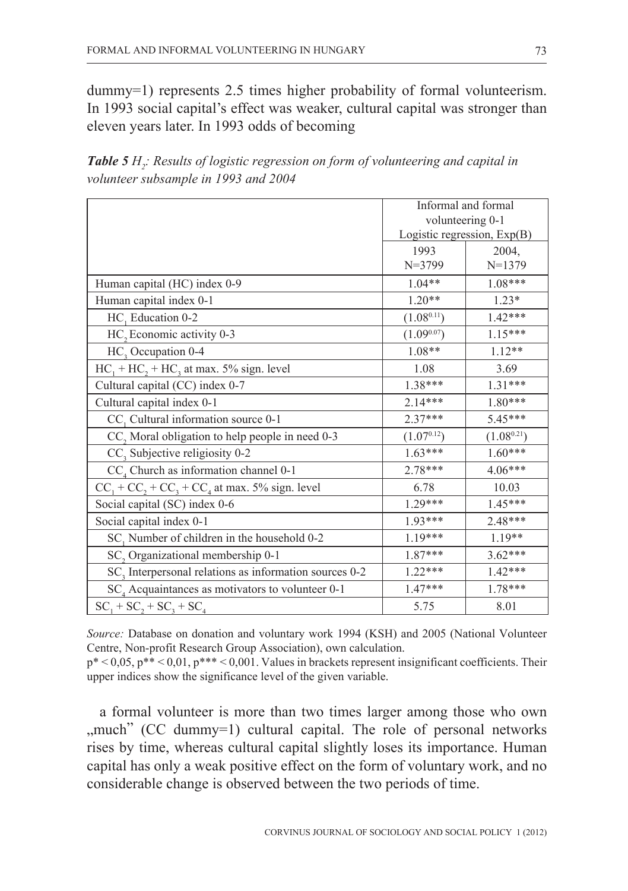dummy=1) represents 2.5 times higher probability of formal volunteerism. In 1993 social capital's effect was weaker, cultural capital was stronger than eleven years later. In 1993 odds of becoming

**Table 5** H<sub>2</sub>: Results of logistic regression on form of volunteering and capital in *volunteer subsample in 1993 and 2004* 

|                                                                    |                  | Informal and formal           |
|--------------------------------------------------------------------|------------------|-------------------------------|
|                                                                    | volunteering 0-1 |                               |
|                                                                    |                  | Logistic regression, $Exp(B)$ |
|                                                                    | 1993             | 2004,                         |
|                                                                    | $N = 3799$       | $N=1379$                      |
| Human capital (HC) index 0-9                                       | $1.04**$         | 1.08***                       |
| Human capital index 0-1                                            | $1.20**$         | $1.23*$                       |
| HC, Education 0-2                                                  | $(1.08^{0.11})$  | $1.42***$                     |
| HC <sub>2</sub> Economic activity 0-3                              | $(1.09^{0.07})$  | $1.15***$                     |
| HC, Occupation 0-4                                                 | 1.08**           | $1.12**$                      |
| $HC_1 + HC_2 + HC_3$ at max. 5% sign. level                        | 1.08             | 3.69                          |
| Cultural capital (CC) index 0-7                                    | 1.38***          | $1.31***$                     |
| Cultural capital index 0-1                                         | $2.14***$        | 1.80***                       |
| CC, Cultural information source 0-1                                | $2.37***$        | 5.45***                       |
| CC, Moral obligation to help people in need 0-3                    | $(1.07^{0.12})$  | $(1.08^{0.21})$               |
| CC, Subjective religiosity 0-2                                     | $1.63***$        | $1.60***$                     |
| $CC4$ Church as information channel 0-1                            | 2.78***          | $4.06***$                     |
| $CC_1 + CC_2 + CC_3 + CC_4$ at max. 5% sign. level                 | 6.78             | 10.03                         |
| Social capital (SC) index 0-6                                      | $1.29***$        | $1.45***$                     |
| Social capital index 0-1                                           | 1.93***          | 2.48***                       |
| SC, Number of children in the household 0-2                        | 1.19***          | $1.19**$                      |
| SC, Organizational membership 0-1                                  | 1.87***          | $3.62***$                     |
| SC <sub>3</sub> Interpersonal relations as information sources 0-2 | $1.22***$        | $1.42***$                     |
| SC, Acquaintances as motivators to volunteer 0-1                   | 1.47***          | 1.78***                       |
| $SC_1 + SC_2 + SC_3 + SC_4$                                        | 5.75             | 8.01                          |

*Source:* Database on donation and voluntary work 1994 (KSH) and 2005 (National Volunteer Centre, Non-profit Research Group Association), own calculation.

p\* < 0,05, p\*\* < 0,01, p\*\*\* < 0,001. Values in brackets represent insignificant coefficients. Their upper indices show the significance level of the given variable.

a formal volunteer is more than two times larger among those who own ,,much" (CC dummy=1) cultural capital. The role of personal networks rises by time, whereas cultural capital slightly loses its importance. Human capital has only a weak positive effect on the form of voluntary work, and no considerable change is observed between the two periods of time.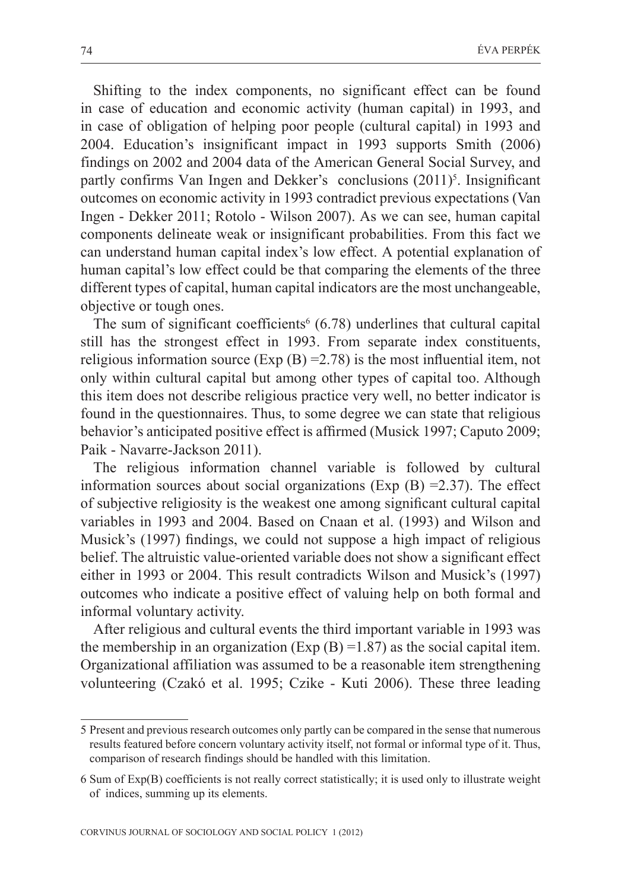Shifting to the index components, no significant effect can be found in case of education and economic activity (human capital) in 1993, and in case of obligation of helping poor people (cultural capital) in 1993 and 2004. Education's insignificant impact in 1993 supports Smith (2006) findings on 2002 and 2004 data of the American General Social Survey, and partly confirms Van Ingen and Dekker's conclusions (2011)<sup>5</sup>. Insignificant outcomes on economic activity in 1993 contradict previous expectations (Van Ingen - Dekker 2011; Rotolo - Wilson 2007). As we can see, human capital components delineate weak or insignificant probabilities. From this fact we can understand human capital index's low effect. A potential explanation of human capital's low effect could be that comparing the elements of the three different types of capital, human capital indicators are the most unchangeable, objective or tough ones.

The sum of significant coefficients<sup> $6$ </sup> (6.78) underlines that cultural capital still has the strongest effect in 1993. From separate index constituents, religious information source (Exp  $(B) = 2.78$ ) is the most influential item, not only within cultural capital but among other types of capital too. Although this item does not describe religious practice very well, no better indicator is found in the questionnaires. Thus, to some degree we can state that religious behavior's anticipated positive effect is affirmed (Musick 1997; Caputo 2009; Paik - Navarre-Jackson 2011).

The religious information channel variable is followed by cultural information sources about social organizations (Exp  $(B) = 2.37$ ). The effect of subjective religiosity is the weakest one among significant cultural capital variables in 1993 and 2004. Based on Cnaan et al. (1993) and Wilson and Musick's (1997) findings, we could not suppose a high impact of religious belief. The altruistic value-oriented variable does not show a significant effect either in 1993 or 2004. This result contradicts Wilson and Musick's (1997) outcomes who indicate a positive effect of valuing help on both formal and informal voluntary activity.

After religious and cultural events the third important variable in 1993 was the membership in an organization (Exp  $(B) = 1.87$ ) as the social capital item. Organizational affiliation was assumed to be a reasonable item strengthening volunteering (Czakó et al. 1995; Czike - Kuti 2006). These three leading

<sup>5</sup> Present and previous research outcomes only partly can be compared in the sense that numerous results featured before concern voluntary activity itself, not formal or informal type of it. Thus, comparison of research findings should be handled with this limitation.

<sup>6</sup> Sum of Exp(B) coefficients is not really correct statistically; it is used only to illustrate weight of indices, summing up its elements.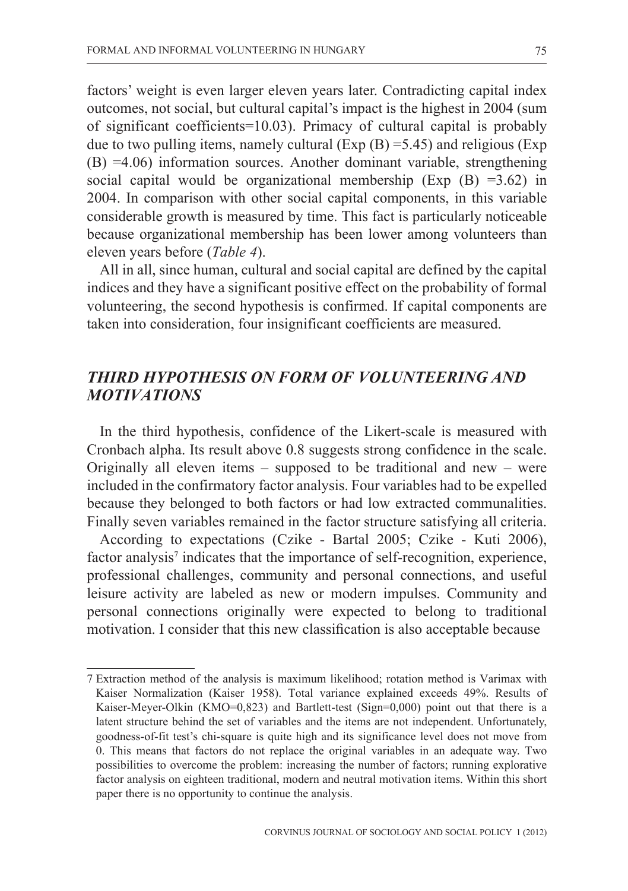factors' weight is even larger eleven years later. Contradicting capital index outcomes, not social, but cultural capital's impact is the highest in 2004 (sum of significant coefficients=10.03). Primacy of cultural capital is probably due to two pulling items, namely cultural  $(Exp (B) = 5.45)$  and religious  $(Exp (B) = 5.45)$ (B) =4.06) information sources. Another dominant variable, strengthening social capital would be organizational membership (Exp  $(B) = 3.62$ ) in 2004. In comparison with other social capital components, in this variable considerable growth is measured by time. This fact is particularly noticeable because organizational membership has been lower among volunteers than eleven years before (*Table 4*).

All in all, since human, cultural and social capital are defined by the capital indices and they have a significant positive effect on the probability of formal volunteering, the second hypothesis is confirmed. If capital components are taken into consideration, four insignificant coefficients are measured.

## *THIRD HYPOTHESIS ON FORM OF VOLUNTEERING AND MOTIVATIONS*

In the third hypothesis, confidence of the Likert-scale is measured with Cronbach alpha. Its result above 0.8 suggests strong confidence in the scale. Originally all eleven items – supposed to be traditional and new – were included in the confirmatory factor analysis. Four variables had to be expelled because they belonged to both factors or had low extracted communalities. Finally seven variables remained in the factor structure satisfying all criteria.

According to expectations (Czike - Bartal 2005; Czike - Kuti 2006), factor analysis<sup>7</sup> indicates that the importance of self-recognition, experience, professional challenges, community and personal connections, and useful leisure activity are labeled as new or modern impulses. Community and personal connections originally were expected to belong to traditional motivation. I consider that this new classification is also acceptable because

<sup>7</sup> Extraction method of the analysis is maximum likelihood; rotation method is Varimax with Kaiser Normalization (Kaiser 1958). Total variance explained exceeds 49%. Results of Kaiser-Meyer-Olkin (KMO=0,823) and Bartlett-test (Sign=0,000) point out that there is a latent structure behind the set of variables and the items are not independent. Unfortunately, goodness-of-fit test's chi-square is quite high and its significance level does not move from 0. This means that factors do not replace the original variables in an adequate way. Two possibilities to overcome the problem: increasing the number of factors; running explorative factor analysis on eighteen traditional, modern and neutral motivation items. Within this short paper there is no opportunity to continue the analysis.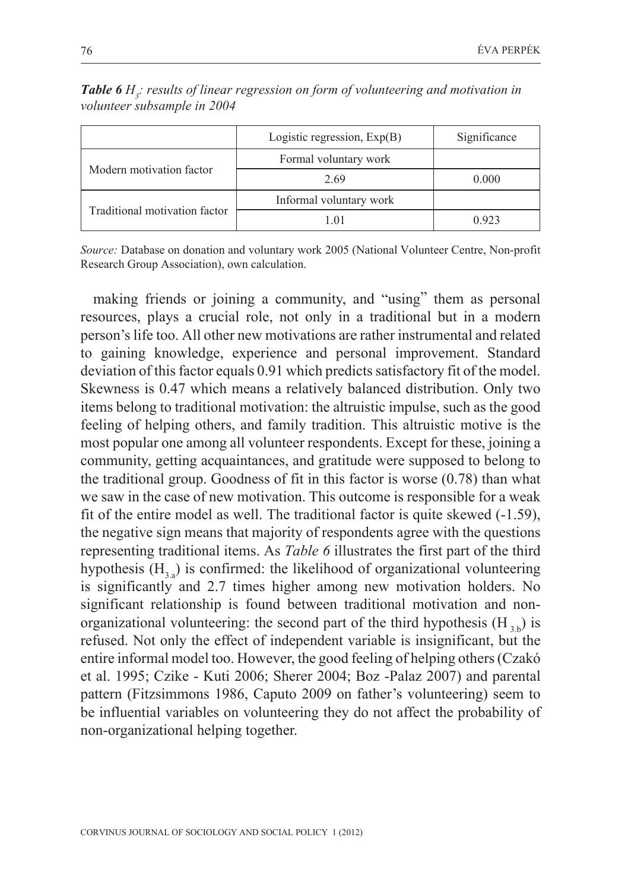0.923

|                          | Logistic regression, $Exp(B)$ | Significance |
|--------------------------|-------------------------------|--------------|
|                          | Formal voluntary work         |              |
| Modern motivation factor | - - -                         | ----         |

2.69 0.000

**Table 6** H<sub>3</sub>: results of linear regression on form of volunteering and motivation in *volunteer subsample in 2004* 

*Source:* Database on donation and voluntary work 2005 (National Volunteer Centre, Non-profit Research Group Association), own calculation.

Traditional motivation factor  $\frac{Informal voluntary work}{1.01}$ 

making friends or joining a community, and "using" them as personal resources, plays a crucial role, not only in a traditional but in a modern person's life too. All other new motivations are rather instrumental and related to gaining knowledge, experience and personal improvement. Standard deviation of this factor equals 0.91 which predicts satisfactory fit of the model. Skewness is 0.47 which means a relatively balanced distribution. Only two items belong to traditional motivation: the altruistic impulse, such as the good feeling of helping others, and family tradition. This altruistic motive is the most popular one among all volunteer respondents. Except for these, joining a community, getting acquaintances, and gratitude were supposed to belong to the traditional group. Goodness of fit in this factor is worse (0.78) than what we saw in the case of new motivation. This outcome is responsible for a weak fit of the entire model as well. The traditional factor is quite skewed (-1.59), the negative sign means that majority of respondents agree with the questions representing traditional items. As *Table 6* illustrates the first part of the third hypothesis  $(H<sub>3.8</sub>)$  is confirmed: the likelihood of organizational volunteering is significantly and 2.7 times higher among new motivation holders. No significant relationship is found between traditional motivation and nonorganizational volunteering: the second part of the third hypothesis  $(H_{2b})$  is refused. Not only the effect of independent variable is insignificant, but the entire informal model too. However, the good feeling of helping others (Czakó et al. 1995; Czike - Kuti 2006; Sherer 2004; Boz -Palaz 2007) and parental pattern (Fitzsimmons 1986, Caputo 2009 on father's volunteering) seem to be influential variables on volunteering they do not affect the probability of non-organizational helping together.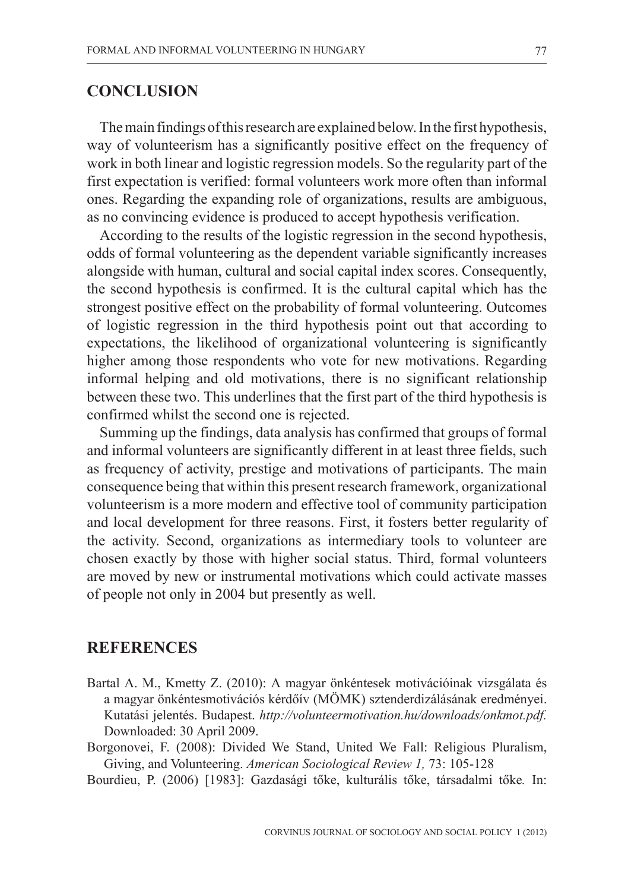## **CONCLUSION**

The main findings of this research are explained below. In the first hypothesis, way of volunteerism has a significantly positive effect on the frequency of work in both linear and logistic regression models. So the regularity part of the first expectation is verified: formal volunteers work more often than informal ones. Regarding the expanding role of organizations, results are ambiguous, as no convincing evidence is produced to accept hypothesis verification.

According to the results of the logistic regression in the second hypothesis, odds of formal volunteering as the dependent variable significantly increases alongside with human, cultural and social capital index scores. Consequently, the second hypothesis is confirmed. It is the cultural capital which has the strongest positive effect on the probability of formal volunteering. Outcomes of logistic regression in the third hypothesis point out that according to expectations, the likelihood of organizational volunteering is significantly higher among those respondents who vote for new motivations. Regarding informal helping and old motivations, there is no significant relationship between these two. This underlines that the first part of the third hypothesis is confirmed whilst the second one is rejected.

Summing up the findings, data analysis has confirmed that groups of formal and informal volunteers are significantly different in at least three fields, such as frequency of activity, prestige and motivations of participants. The main consequence being that within this present research framework, organizational volunteerism is a more modern and effective tool of community participation and local development for three reasons. First, it fosters better regularity of the activity. Second, organizations as intermediary tools to volunteer are chosen exactly by those with higher social status. Third, formal volunteers are moved by new or instrumental motivations which could activate masses of people not only in 2004 but presently as well.

### **REFERENCES**

- Bartal A. M., Kmetty Z. (2010): A magyar önkéntesek motivációinak vizsgálata és a magyar önkéntesmotivációs kérdõív (MÖMK) sztenderdizálásának eredményei. Kutatási jelentés. Budapest. *http://volunteermotivation.hu/downloads/onkmot.pdf.* Downloaded: 30 April 2009.
- Borgonovei, F. (2008): Divided We Stand, United We Fall: Religious Pluralism, Giving, and Volunteering. *American Sociological Review 1,* 73: 105-128

Bourdieu, P. (2006) [1983]: Gazdasági tõke, kulturális tõke, társadalmi tõke*.* In: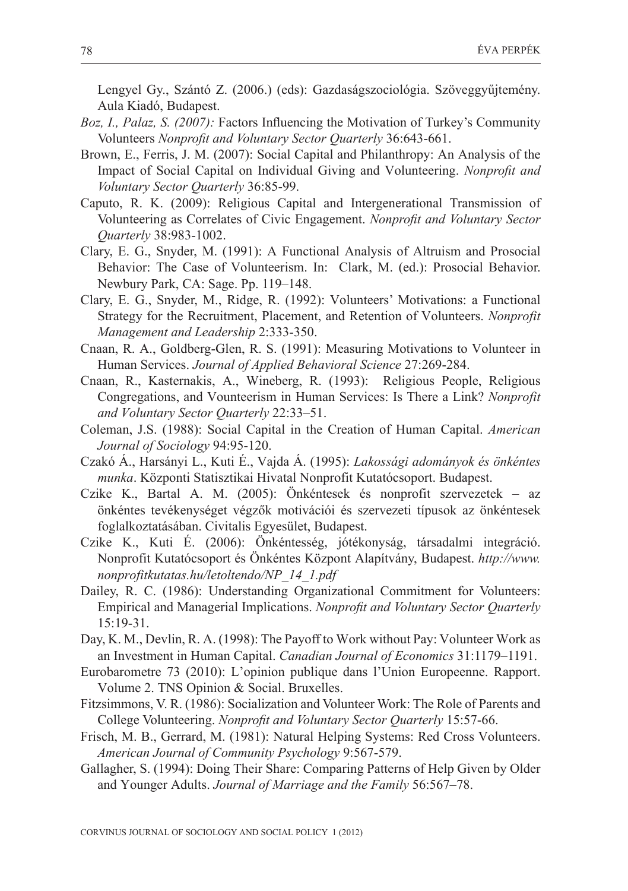Lengyel Gy., Szántó Z. (2006.) (eds): Gazdaságszociológia. Szöveggyűjtemény. Aula Kiadó, Budapest.

- *Boz, I., Palaz, S. (2007):* Factors Influencing the Motivation of Turkey's Community Volunteers *Nonprofit and Voluntary Sector Quarterly* 36:643-661.
- Brown, E., Ferris, J. M. (2007): Social Capital and Philanthropy: An Analysis of the Impact of Social Capital on Individual Giving and Volunteering. *Nonprofit and Voluntary Sector Quarterly* 36:85-99.
- Caputo, R. K. (2009): Religious Capital and Intergenerational Transmission of Volunteering as Correlates of Civic Engagement. *Nonprofit and Voluntary Sector Quarterly* 38:983-1002.
- Clary, E. G., Snyder, M. (1991): A Functional Analysis of Altruism and Prosocial Behavior: The Case of Volunteerism. In: Clark, M. (ed.): Prosocial Behavior. Newbury Park, CA: Sage. Pp. 119–148.
- Clary, E. G., Snyder, M., Ridge, R. (1992): Volunteers' Motivations: a Functional Strategy for the Recruitment, Placement, and Retention of Volunteers. *Nonprofit Management and Leadership* 2:333-350.
- Cnaan, R. A., Goldberg-Glen, R. S. (1991): Measuring Motivations to Volunteer in Human Services. *Journal of Applied Behavioral Science* 27:269-284.
- Cnaan, R., Kasternakis, A., Wineberg, R. (1993): Religious People, Religious Congregations, and Vounteerism in Human Services: Is There a Link? *Nonprofit and Voluntary Sector Quarterly* 22:33–51.
- Coleman, J.S. (1988): Social Capital in the Creation of Human Capital. *American Journal of Sociology* 94:95-120.
- Czakó Á., Harsányi L., Kuti É., Vajda Á. (1995): *Lakossági adományok és önkéntes munka*. Központi Statisztikai Hivatal Nonprofit Kutatócsoport. Budapest.
- Czike K., Bartal A. M. (2005): Önkéntesek és nonprofit szervezetek az önkéntes tevékenységet végzõk motivációi és szervezeti típusok az önkéntesek foglalkoztatásában. Civitalis Egyesület, Budapest.
- Czike K., Kuti É. (2006): Önkéntesség, jótékonyság, társadalmi integráció. Nonprofit Kutatócsoport és Önkéntes Központ Alapítvány, Budapest. *http://www. nonprofitkutatas.hu/letoltendo/NP\_14\_1.pdf*
- Dailey, R. C. (1986): Understanding Organizational Commitment for Volunteers: Empirical and Managerial Implications. *Nonprofit and Voluntary Sector Quarterly*   $15:19-31$
- Day, K. M., Devlin, R. A. (1998): The Payoff to Work without Pay: Volunteer Work as an Investment in Human Capital. *Canadian Journal of Economics* 31:1179–1191.
- Eurobarometre 73 (2010): L'opinion publique dans l'Union Europeenne. Rapport. Volume 2. TNS Opinion & Social. Bruxelles.
- Fitzsimmons, V. R. (1986): Socialization and Volunteer Work: The Role of Parents and College Volunteering. *Nonprofit and Voluntary Sector Quarterly* 15:57-66.
- Frisch, M. B., Gerrard, M. (1981): Natural Helping Systems: Red Cross Volunteers. *American Journal of Community Psychology* 9:567-579.
- Gallagher, S. (1994): Doing Their Share: Comparing Patterns of Help Given by Older and Younger Adults. *Journal of Marriage and the Family* 56:567–78.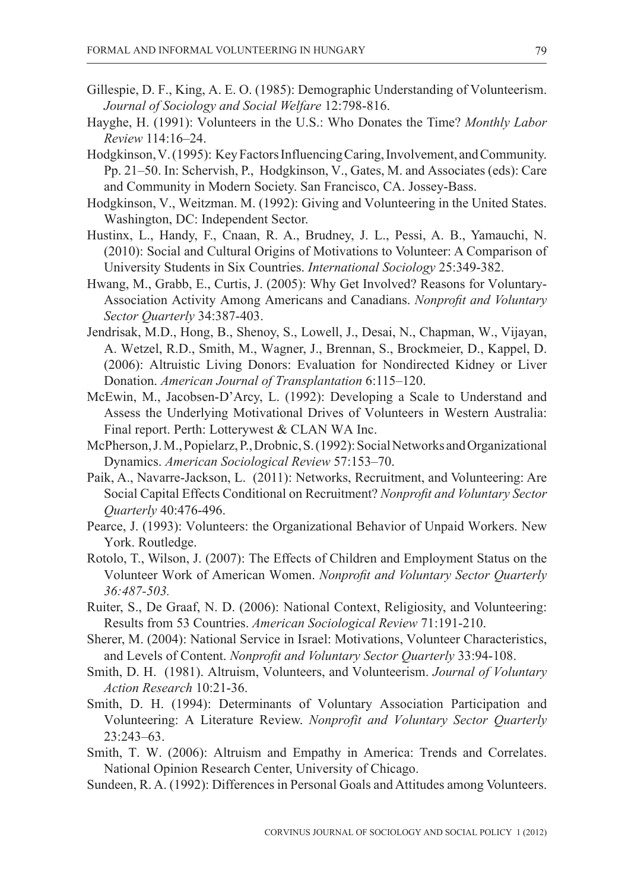- Gillespie, D. F., King, A. E. O. (1985): Demographic Understanding of Volunteerism. *Journal of Sociology and Social Welfare* 12:798-816.
- Hayghe, H. (1991): Volunteers in the U.S.: Who Donates the Time? *Monthly Labor Review* 114:16–24.
- Hodgkinson, V. (1995): Key Factors Influencing Caring, Involvement, and Community. Pp. 21–50. In: Schervish, P., Hodgkinson, V., Gates, M. and Associates (eds): Care and Community in Modern Society. San Francisco, CA. Jossey-Bass.
- Hodgkinson, V., Weitzman. M. (1992): Giving and Volunteering in the United States. Washington, DC: Independent Sector.
- Hustinx, L., Handy, F., Cnaan, R. A., Brudney, J. L., Pessi, A. B., Yamauchi, N. (2010): Social and Cultural Origins of Motivations to Volunteer: A Comparison of University Students in Six Countries. *International Sociology* 25:349-382.
- Hwang, M., Grabb, E., Curtis, J. (2005): Why Get Involved? Reasons for Voluntary-Association Activity Among Americans and Canadians. *Nonprofit and Voluntary Sector Quarterly* 34:387-403.
- Jendrisak, M.D., Hong, B., Shenoy, S., Lowell, J., Desai, N., Chapman, W., Vijayan, A. Wetzel, R.D., Smith, M., Wagner, J., Brennan, S., Brockmeier, D., Kappel, D. (2006): Altruistic Living Donors: Evaluation for Nondirected Kidney or Liver Donation. *American Journal of Transplantation* 6:115–120.
- McEwin, M., Jacobsen-D'Arcy, L. (1992): Developing a Scale to Understand and Assess the Underlying Motivational Drives of Volunteers in Western Australia: Final report. Perth: Lotterywest & CLAN WA Inc.
- McPherson, J. M., Popielarz, P., Drobnic, S. (1992): Social Networks and Organizational Dynamics. *American Sociological Review* 57:153–70.
- Paik, A., Navarre-Jackson, L. (2011): Networks, Recruitment, and Volunteering: Are Social Capital Effects Conditional on Recruitment? *Nonprofit and Voluntary Sector Quarterly* 40:476-496.
- Pearce, J. (1993): Volunteers: the Organizational Behavior of Unpaid Workers. New York. Routledge.
- Rotolo, T., Wilson, J. (2007): The Effects of Children and Employment Status on the Volunteer Work of American Women. *Nonprofit and Voluntary Sector Quarterly 36:487-503.*
- Ruiter, S., De Graaf, N. D. (2006): National Context, Religiosity, and Volunteering: Results from 53 Countries. *American Sociological Review* 71:191-210.
- Sherer, M. (2004): National Service in Israel: Motivations, Volunteer Characteristics, and Levels of Content. *Nonprofit and Voluntary Sector Quarterly* 33:94-108.
- Smith, D. H. (1981). Altruism, Volunteers, and Volunteerism. *Journal of Voluntary Action Research* 10:21-36.
- Smith, D. H. (1994): Determinants of Voluntary Association Participation and Volunteering: A Literature Review. *Nonprofit and Voluntary Sector Quarterly*  23:243–63.
- Smith, T. W. (2006): Altruism and Empathy in America: Trends and Correlates. National Opinion Research Center, University of Chicago.
- Sundeen, R. A. (1992): Differences in Personal Goals and Attitudes among Volunteers.